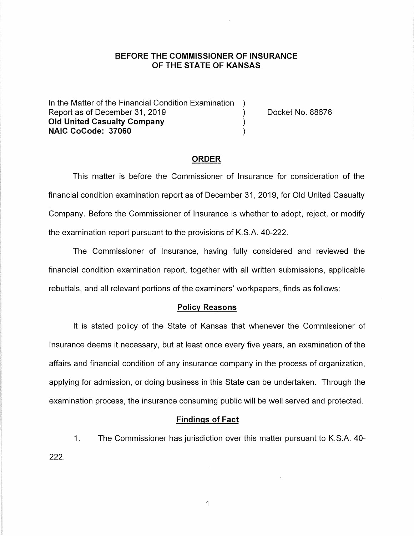# **BEFORE THE COMMISSIONER OF INSURANCE OF THE STATE OF KANSAS**

In the Matter of the Financial Condition Examination Report as of December 31, 2019 (and the control of the Docket No. 88676) **Old United Casualty Company** ) **NAIC CoCode: 37060** )

## **ORDER**

This matter is before the Commissioner of Insurance for consideration of the financial condition examination report as of December 31, 2019, for Old United Casualty Company. Before the Commissioner of Insurance is whether to adopt, reject, or modify the examination report pursuant to the provisions of K.S.A. 40-222.

The Commissioner of Insurance, having fully considered and reviewed the financial condition examination report, together with all written submissions, applicable rebuttals, and all relevant portions of the examiners' workpapers, finds as follows:

## **Policy Reasons**

It is stated policy of the State of Kansas that whenever the Commissioner of Insurance deems it necessary, but at least once every five years, an examination of the affairs and financial condition of any insurance company in the process of organization, applying for admission, or doing business in this State can be undertaken. Through the examination process, the insurance consuming public will be well served and protected.

#### **Findings of Fact**

1. The Commissioner has jurisdiction over this matter pursuant to K.S.A. 40- 222.

 $\mathbf{1}$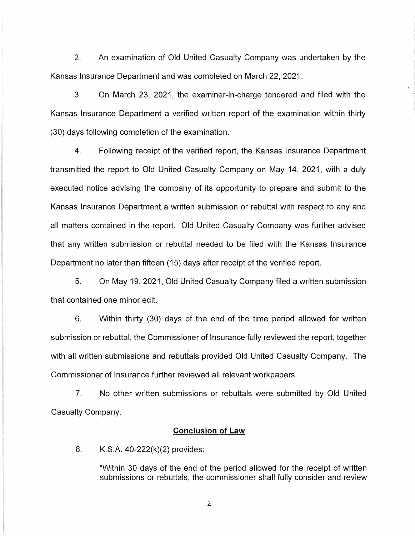2. An examination of Old United Casualty Company was undertaken by the Kansas Insurance Department and was completed on March 22, 2021.

3. On March 23, 2021, the examiner-in-charge tendered and filed with the Kansas Insurance Department a verified written report of the examination within thirty (30) days following completion of the examination.

4. Following receipt of the verified report, the Kansas Insurance Department transmitted the report to Old United Casualty Company on May 14, 2021, with a duly executed notice advising the company of its opportunity to prepare and submit to the Kansas Insurance Department a written submission or rebuttal with respect to any and all matters contained in the report. Old United Casualty Company was further advised that any written submission or rebuttal needed to be filed with the Kansas Insurance Department no later than fifteen ( 15) days after receipt of the verified report.

5. On May 19, 2021, Old United Casualty Company filed a written submission that contained one minor edit.

6. Within thirty (30) days of the end of the time period allowed for written submission or rebuttal, the Commissioner of Insurance fully reviewed the report, together with all written submissions and rebuttals provided Old United Casualty Company. The Commissioner of Insurance further reviewed all relevant workpapers.

7. No other written submissions or rebuttals were submitted by Old United Casualty Company.

## **Conclusion of Law**

8. K.S.A. 40-222(k)(2) provides:

"Within 30 days of the end of the period allowed for the receipt of written submissions or rebuttals, the commissioner shall fully consider and review

2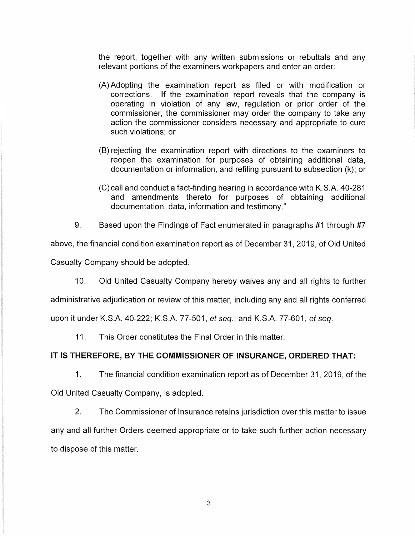the report, together with any written submissions or rebuttals and any relevant portions of the examiners workpapers and enter an order:

- (A) Adopting the examination report as filed or with modification or corrections. If the examination report reveals that the company is operating in violation of any law, regulation or prior order of the commissioner, the commissioner may order the company to take any action the commissioner considers necessary and appropriate to cure such violations; or
- (B) rejecting the examination report with directions to the examiners to reopen the examination for purposes of obtaining additional data, documentation or information, and refiling pursuant to subsection (k); or
- (C) call and conduct a fact-finding hearing in accordance with K.S.A. 40-281 and amendments thereto for purposes of obtaining additional documentation, data, information and testimony."

9. Based upon the Findings of Fact enumerated in paragraphs #1 through #7

above, the financial condition examination report as of December 31, 2019, of Old United

Casualty Company should be adopted.

10. Old United Casualty Company hereby waives any and all rights to further

administrative adjudication or review of this matter, including any and all rights conferred

upon it under K.S.A. 40-222; K.S.A. 77-501, et seq.; and K.S.A. 77-601, et seq.

11. This Order constitutes the Final Order in this matter.

# **IT IS THEREFORE, BY THE COMMISSIONER OF INSURANCE, ORDERED THAT:**

1. The financial condition examination report as of December 31, 2019, of the Old United Casualty Company, is adopted.

2. The Commissioner of Insurance retains jurisdiction over this matter to issue any and all further Orders deemed appropriate or to take such further action necessary to dispose of this matter.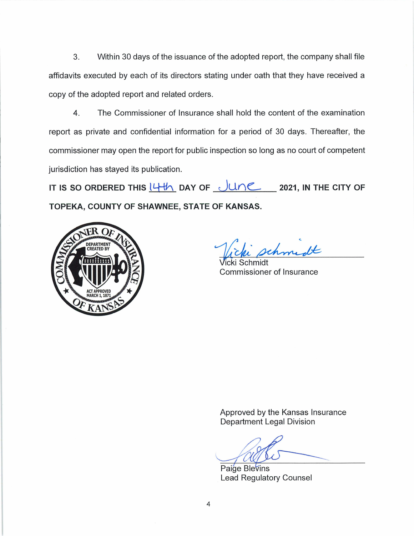3. Within 30 days of the issuance of the adopted report, the company shall file affidavits executed by each of its directors stating under oath that they have received a copy of the adopted report and related orders.

4. The Commissioner of Insurance shall hold the content of the examination report as private and confidential information for a period of 30 days. Thereafter, the commissioner may open the report for public inspection so long as no court of competent jurisdiction has stayed its publication.

**IT IS SO ORDERED THIS**  $14\%$  **DAY OF**  $\sqrt{10}$  **2021, IN THE CITY OF TOPEKA, COUNTY OF SHAWNEE, STATE OF KANSAS.** 



homedt

Schmidt Commissioner of Insurance

Approved by the Kansas Insurance Department Legal Division

Paige Blevins Lead Regulatory Counsel